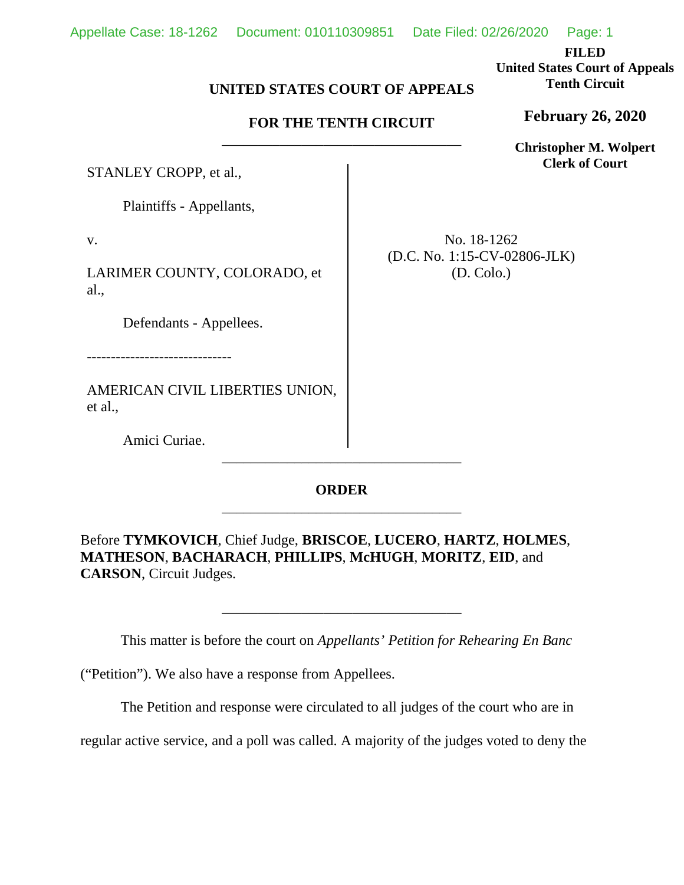**FILED**

**United States Court of Appeals Tenth Circuit**

**February 26, 2020**

**Christopher M. Wolpert Clerk of Court**

## **UNITED STATES COURT OF APPEALS**

## **FOR THE TENTH CIRCUIT** \_\_\_\_\_\_\_\_\_\_\_\_\_\_\_\_\_\_\_\_\_\_\_\_\_\_\_\_\_\_\_\_\_

STANLEY CROPP, et al.,

Plaintiffs - Appellants,

v.

LARIMER COUNTY, COLORADO, et al.,

Defendants - Appellees.

------------------------------

AMERICAN CIVIL LIBERTIES UNION, et al.,

Amici Curiae.

No. 18-1262 (D.C. No. 1:15-CV-02806-JLK) (D. Colo.)

**ORDER** \_\_\_\_\_\_\_\_\_\_\_\_\_\_\_\_\_\_\_\_\_\_\_\_\_\_\_\_\_\_\_\_\_

\_\_\_\_\_\_\_\_\_\_\_\_\_\_\_\_\_\_\_\_\_\_\_\_\_\_\_\_\_\_\_\_\_

Before **TYMKOVICH**, Chief Judge, **BRISCOE**, **LUCERO**, **HARTZ**, **HOLMES**, **MATHESON**, **BACHARACH**, **PHILLIPS**, **McHUGH**, **MORITZ**, **EID**, and **CARSON**, Circuit Judges.

This matter is before the court on *Appellants' Petition for Rehearing En Banc* 

\_\_\_\_\_\_\_\_\_\_\_\_\_\_\_\_\_\_\_\_\_\_\_\_\_\_\_\_\_\_\_\_\_

("Petition"). We also have a response from Appellees.

The Petition and response were circulated to all judges of the court who are in

regular active service, and a poll was called. A majority of the judges voted to deny the